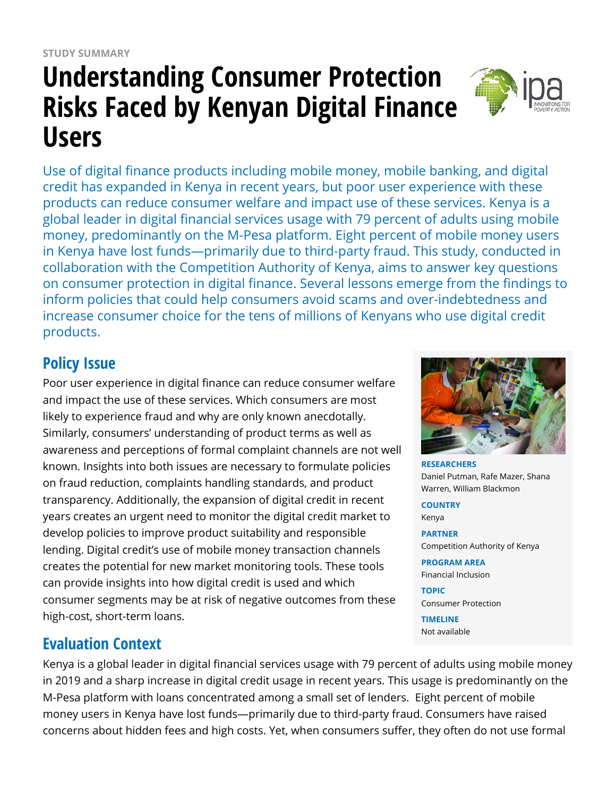# **Understanding Consumer Protection Risks Faced by Kenyan Digital Finance Users**

Use of digital finance products including mobile money, mobile banking, and digital credit has expanded in Kenya in recent years, but poor user experience with these products can reduce consumer welfare and impact use of these services. Kenya is a global leader in digital financial services usage with 79 percent of adults using mobile money, predominantly on the M-Pesa platform. Eight percent of mobile money users in Kenya have lost funds—primarily due to third-party fraud. This study, conducted in collaboration with the Competition Authority of Kenya, aims to answer key questions on consumer protection in digital finance. Several lessons emerge from the findings to inform policies that could help consumers avoid scams and over-indebtedness and increase consumer choice for the tens of millions of Kenyans who use digital credit products.

## **Policy Issue**

Poor user experience in digital finance can reduce consumer welfare and impact the use of these services. Which consumers are most likely to experience fraud and why are only known anecdotally. Similarly, consumers' understanding of product terms as well as awareness and perceptions of formal complaint channels are not well known. Insights into both issues are necessary to formulate policies on fraud reduction, complaints handling standards, and product transparency. Additionally, the expansion of digital credit in recent years creates an urgent need to monitor the digital credit market to develop policies to improve product suitability and responsible lending. Digital credit's use of mobile money transaction channels creates the potential for new market monitoring tools. These tools can provide insights into how digital credit is used and which consumer segments may be at risk of negative outcomes from these high-cost, short-term loans.

## **Evaluation Context**

Kenya is a global leader in digital financial services usage with 79 percent of adults using mobile money in 2019 and a sharp increase in digital credit usage in recent years. This usage is predominantly on the M-Pesa platform with loans concentrated among a small set of lenders. Eight percent of mobile money users in Kenya have lost funds—primarily due to third-party fraud. Consumers have raised concerns about hidden fees and high costs. Yet, when consumers suffer, they often do not use formal



**RESEARCHERS** Daniel Putman, Rafe Mazer, Shana Warren, William Blackmon

#### **COUNTRY**

Kenya

**PARTNER** Competition Authority of Kenya

**PROGRAM AREA** Financial Inclusion

**TOPIC** Consumer Protection

**TIMELINE** Not available

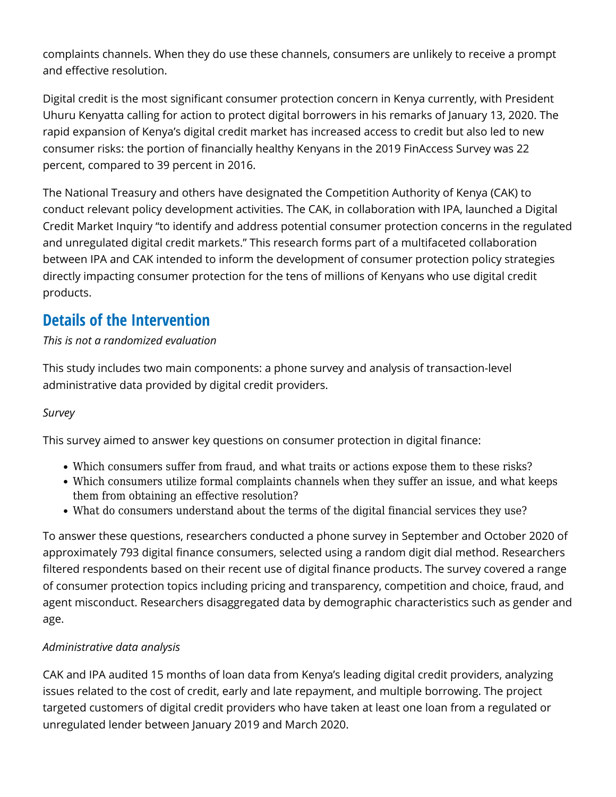complaints channels. When they do use these channels, consumers are unlikely to receive a prompt and effective resolution.

Digital credit is the most significant consumer protection concern in Kenya currently, with President Uhuru Kenyatta calling for action to protect digital borrowers in his remarks of January 13, 2020. The rapid expansion of Kenya's digital credit market has increased access to credit but also led to new consumer risks: the portion of financially healthy Kenyans in the 2019 FinAccess Survey was 22 percent, compared to 39 percent in 2016.

The National Treasury and others have designated the Competition Authority of Kenya (CAK) to conduct relevant policy development activities. The CAK, in collaboration with IPA, launched a Digital Credit Market Inquiry "to identify and address potential consumer protection concerns in the regulated and unregulated digital credit markets." This research forms part of a multifaceted collaboration between IPA and CAK intended to inform the development of consumer protection policy strategies directly impacting consumer protection for the tens of millions of Kenyans who use digital credit products.

## **Details of the Intervention**

#### *This is not a randomized evaluation*

This study includes two main components: a phone survey and analysis of transaction-level administrative data provided by digital credit providers.

#### *Survey*

This survey aimed to answer key questions on consumer protection in digital finance:

- Which consumers suffer from fraud, and what traits or actions expose them to these risks?
- Which consumers utilize formal complaints channels when they suffer an issue, and what keeps them from obtaining an effective resolution?
- What do consumers understand about the terms of the digital financial services they use?

To answer these questions, researchers conducted a phone survey in September and October 2020 of approximately 793 digital finance consumers, selected using a random digit dial method. Researchers filtered respondents based on their recent use of digital finance products. The survey covered a range of consumer protection topics including pricing and transparency, competition and choice, fraud, and agent misconduct. Researchers disaggregated data by demographic characteristics such as gender and age.

### *Administrative data analysis*

CAK and IPA audited 15 months of loan data from Kenya's leading digital credit providers, analyzing issues related to the cost of credit, early and late repayment, and multiple borrowing. The project targeted customers of digital credit providers who have taken at least one loan from a regulated or unregulated lender between January 2019 and March 2020.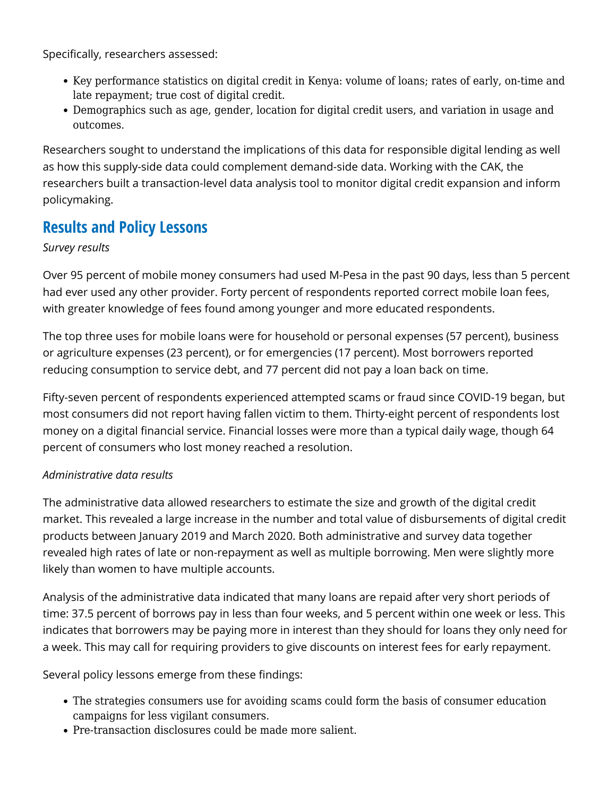Specifically, researchers assessed:

- Key performance statistics on digital credit in Kenya: volume of loans; rates of early, on-time and late repayment; true cost of digital credit.
- Demographics such as age, gender, location for digital credit users, and variation in usage and outcomes.

Researchers sought to understand the implications of this data for responsible digital lending as well as how this supply-side data could complement demand-side data. Working with the CAK, the researchers built a transaction-level data analysis tool to monitor digital credit expansion and inform policymaking.

## **Results and Policy Lessons**

#### *Survey results*

Over 95 percent of mobile money consumers had used M-Pesa in the past 90 days, less than 5 percent had ever used any other provider. Forty percent of respondents reported correct mobile loan fees, with greater knowledge of fees found among younger and more educated respondents.

The top three uses for mobile loans were for household or personal expenses (57 percent), business or agriculture expenses (23 percent), or for emergencies (17 percent). Most borrowers reported reducing consumption to service debt, and 77 percent did not pay a loan back on time.

Fifty-seven percent of respondents experienced attempted scams or fraud since COVID-19 began, but most consumers did not report having fallen victim to them. Thirty-eight percent of respondents lost money on a digital financial service. Financial losses were more than a typical daily wage, though 64 percent of consumers who lost money reached a resolution.

### *Administrative data results*

The administrative data allowed researchers to estimate the size and growth of the digital credit market. This revealed a large increase in the number and total value of disbursements of digital credit products between January 2019 and March 2020. Both administrative and survey data together revealed high rates of late or non-repayment as well as multiple borrowing. Men were slightly more likely than women to have multiple accounts.

Analysis of the administrative data indicated that many loans are repaid after very short periods of time: 37.5 percent of borrows pay in less than four weeks, and 5 percent within one week or less. This indicates that borrowers may be paying more in interest than they should for loans they only need for a week. This may call for requiring providers to give discounts on interest fees for early repayment.

Several policy lessons emerge from these findings:

- The strategies consumers use for avoiding scams could form the basis of consumer education campaigns for less vigilant consumers.
- Pre-transaction disclosures could be made more salient.